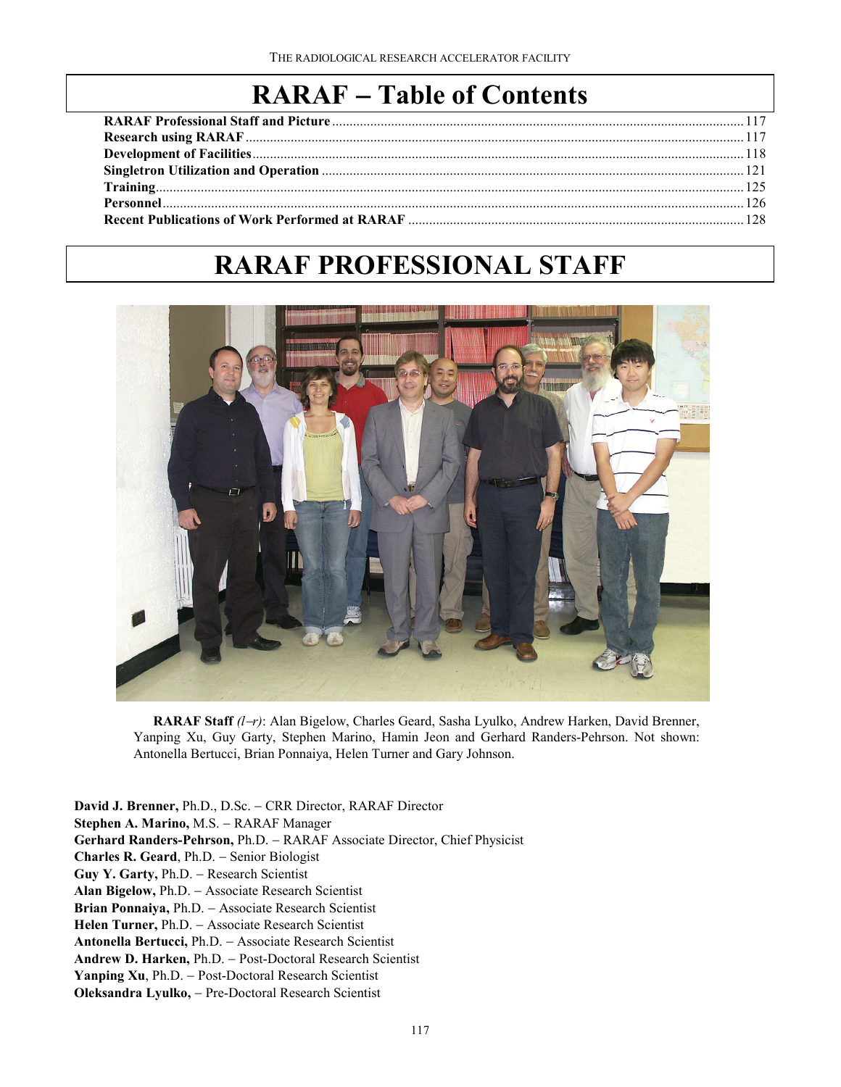## **RARAF** − **Table of Contents**

# **RARAF PROFESSIONAL STAFF**



**RARAF Staff** *(l*−*r)*: Alan Bigelow, Charles Geard, Sasha Lyulko, Andrew Harken, David Brenner, Yanping Xu, Guy Garty, Stephen Marino, Hamin Jeon and Gerhard Randers-Pehrson. Not shown: Antonella Bertucci, Brian Ponnaiya, Helen Turner and Gary Johnson.

**David J. Brenner,** Ph.D., D.Sc. − CRR Director, RARAF Director **Stephen A. Marino,** M.S. − RARAF Manager **Gerhard Randers-Pehrson,** Ph.D. − RARAF Associate Director, Chief Physicist **Charles R. Geard**, Ph.D. − Senior Biologist **Guy Y. Garty,** Ph.D. − Research Scientist **Alan Bigelow,** Ph.D. − Associate Research Scientist **Brian Ponnaiya,** Ph.D. − Associate Research Scientist **Helen Turner,** Ph.D. − Associate Research Scientist **Antonella Bertucci,** Ph.D. − Associate Research Scientist **Andrew D. Harken,** Ph.D. − Post-Doctoral Research Scientist **Yanping Xu**, Ph.D. − Post-Doctoral Research Scientist **Oleksandra Lyulko,** − Pre-Doctoral Research Scientist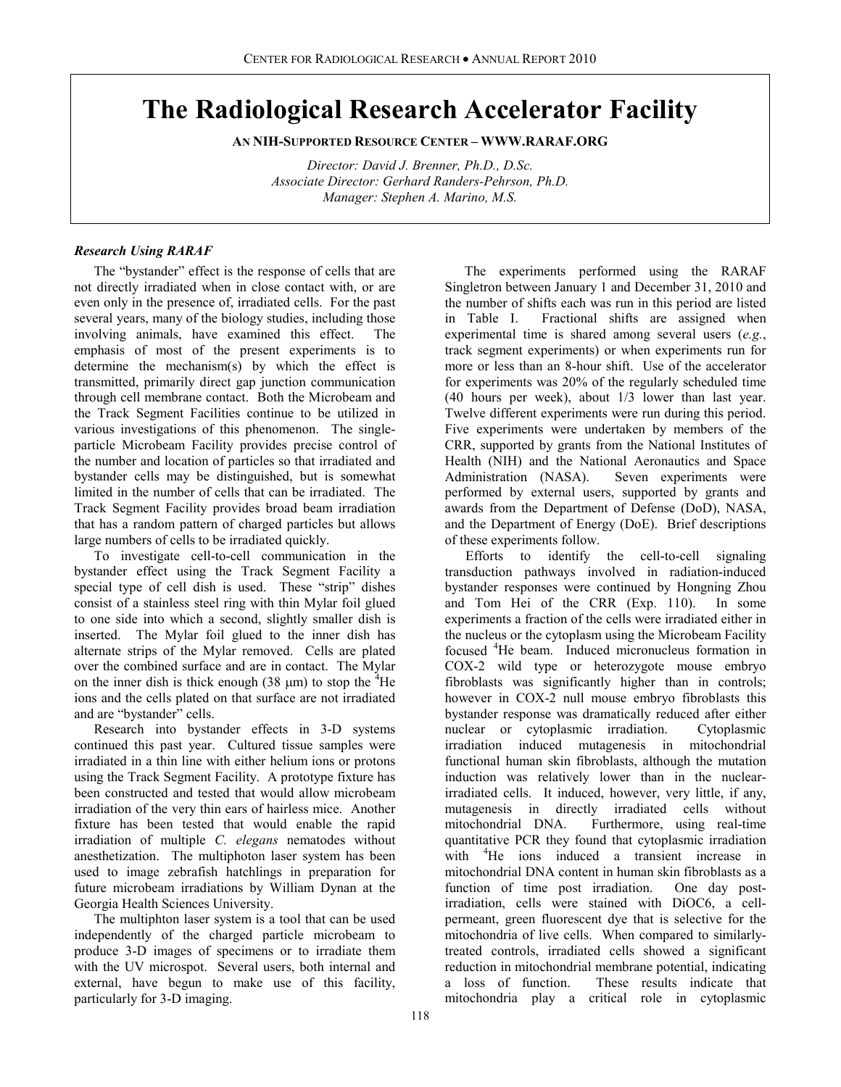## **The Radiological Research Accelerator Facility**

**AN NIH-SUPPORTED RESOURCE CENTER – WWW.RARAF.ORG**

*Director: David J. Brenner, Ph.D., D.Sc. Associate Director: Gerhard Randers-Pehrson, Ph.D. Manager: Stephen A. Marino, M.S.*

## *Research Using RARAF*

The "bystander" effect is the response of cells that are not directly irradiated when in close contact with, or are even only in the presence of, irradiated cells. For the past several years, many of the biology studies, including those involving animals, have examined this effect. The emphasis of most of the present experiments is to determine the mechanism(s) by which the effect is transmitted, primarily direct gap junction communication through cell membrane contact. Both the Microbeam and the Track Segment Facilities continue to be utilized in various investigations of this phenomenon. The singleparticle Microbeam Facility provides precise control of the number and location of particles so that irradiated and bystander cells may be distinguished, but is somewhat limited in the number of cells that can be irradiated. The Track Segment Facility provides broad beam irradiation that has a random pattern of charged particles but allows large numbers of cells to be irradiated quickly.

To investigate cell-to-cell communication in the bystander effect using the Track Segment Facility a special type of cell dish is used. These "strip" dishes consist of a stainless steel ring with thin Mylar foil glued to one side into which a second, slightly smaller dish is inserted. The Mylar foil glued to the inner dish has alternate strips of the Mylar removed. Cells are plated over the combined surface and are in contact. The Mylar on the inner dish is thick enough  $(38 \mu m)$  to stop the <sup>4</sup>He ions and the cells plated on that surface are not irradiated and are "bystander" cells.

Research into bystander effects in 3-D systems continued this past year. Cultured tissue samples were irradiated in a thin line with either helium ions or protons using the Track Segment Facility. A prototype fixture has been constructed and tested that would allow microbeam irradiation of the very thin ears of hairless mice. Another fixture has been tested that would enable the rapid irradiation of multiple *C. elegans* nematodes without anesthetization. The multiphoton laser system has been used to image zebrafish hatchlings in preparation for future microbeam irradiations by William Dynan at the Georgia Health Sciences University.

The multiphton laser system is a tool that can be used independently of the charged particle microbeam to produce 3-D images of specimens or to irradiate them with the UV microspot. Several users, both internal and external, have begun to make use of this facility, particularly for 3-D imaging.

The experiments performed using the RARAF Singletron between January 1 and December 31, 2010 and the number of shifts each was run in this period are listed in Table I. Fractional shifts are assigned when experimental time is shared among several users (*e.g.*, track segment experiments) or when experiments run for more or less than an 8-hour shift. Use of the accelerator for experiments was 20% of the regularly scheduled time (40 hours per week), about 1/3 lower than last year. Twelve different experiments were run during this period. Five experiments were undertaken by members of the CRR, supported by grants from the National Institutes of Health (NIH) and the National Aeronautics and Space Administration (NASA). Seven experiments were performed by external users, supported by grants and awards from the Department of Defense (DoD), NASA, and the Department of Energy (DoE). Brief descriptions of these experiments follow.

Efforts to identify the cell-to-cell signaling transduction pathways involved in radiation-induced bystander responses were continued by Hongning Zhou<br>and Tom Hei of the CRR (Exp. 110). In some and Tom Hei of the CRR (Exp. 110). experiments a fraction of the cells were irradiated either in the nucleus or the cytoplasm using the Microbeam Facility focused <sup>4</sup> He beam. Induced micronucleus formation in COX-2 wild type or heterozygote mouse embryo fibroblasts was significantly higher than in controls; however in COX-2 null mouse embryo fibroblasts this bystander response was dramatically reduced after either nuclear or cytoplasmic irradiation. Cytoplasmic irradiation induced mutagenesis in mitochondrial functional human skin fibroblasts, although the mutation induction was relatively lower than in the nuclearirradiated cells. It induced, however, very little, if any, mutagenesis in directly irradiated cells without mitochondrial DNA. Furthermore, using real-time quantitative PCR they found that cytoplasmic irradiation with <sup>4</sup>He ions induced a transient increase in mitochondrial DNA content in human skin fibroblasts as a function of time post irradiation. One day postirradiation, cells were stained with DiOC6, a cellpermeant, green fluorescent dye that is selective for the mitochondria of live cells. When compared to similarlytreated controls, irradiated cells showed a significant reduction in mitochondrial membrane potential, indicating a loss of function. These results indicate that mitochondria play a critical role in cytoplasmic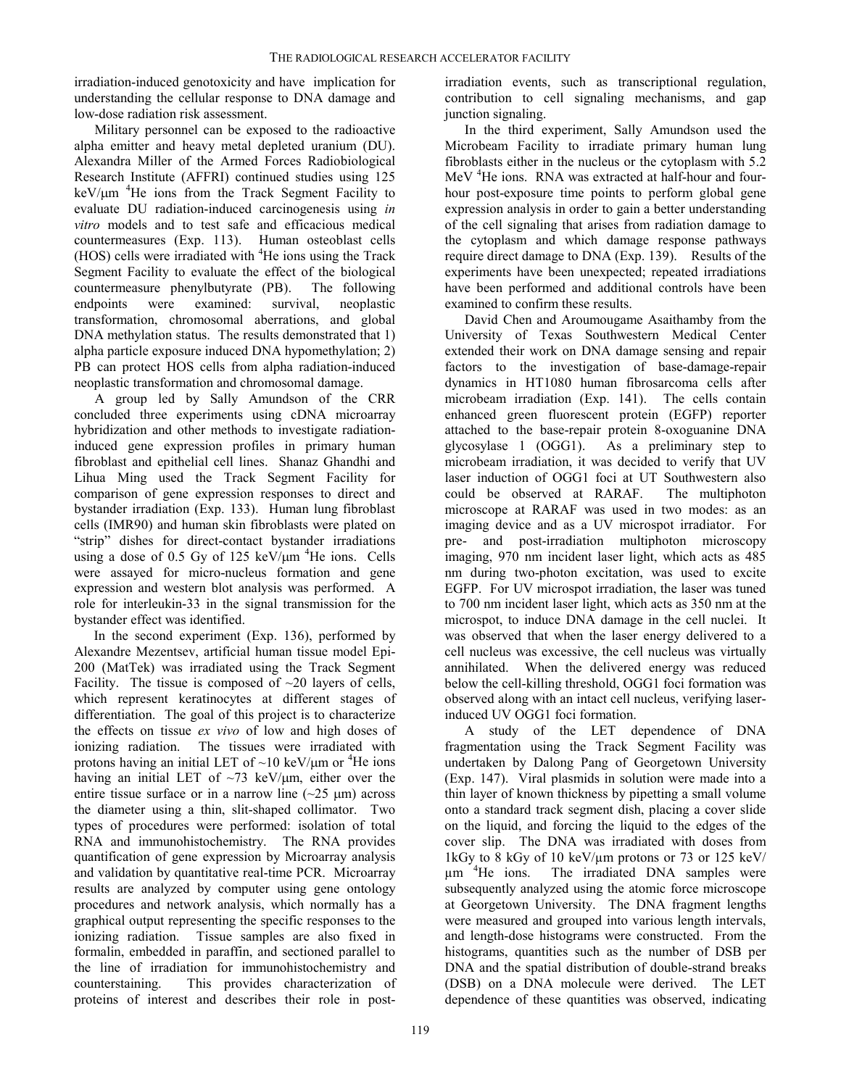irradiation-induced genotoxicity and have implication for understanding the cellular response to DNA damage and low-dose radiation risk assessment.

Military personnel can be exposed to the radioactive alpha emitter and heavy metal depleted uranium (DU). Alexandra Miller of the Armed Forces Radiobiological Research Institute (AFFRI) continued studies using 125  $keV/\mu m$  <sup>4</sup>He ions from the Track Segment Facility to evaluate DU radiation-induced carcinogenesis using *in vitro* models and to test safe and efficacious medical countermeasures (Exp. 113). Human osteoblast cells  $(HOS)$  cells were irradiated with  ${}^{4}$ He ions using the Track Segment Facility to evaluate the effect of the biological countermeasure phenylbutyrate (PB). The following endpoints were examined: survival, neoplastic transformation, chromosomal aberrations, and global DNA methylation status. The results demonstrated that 1) alpha particle exposure induced DNA hypomethylation; 2) PB can protect HOS cells from alpha radiation-induced neoplastic transformation and chromosomal damage.

A group led by Sally Amundson of the CRR concluded three experiments using cDNA microarray hybridization and other methods to investigate radiationinduced gene expression profiles in primary human fibroblast and epithelial cell lines. Shanaz Ghandhi and Lihua Ming used the Track Segment Facility for comparison of gene expression responses to direct and bystander irradiation (Exp. 133). Human lung fibroblast cells (IMR90) and human skin fibroblasts were plated on "strip" dishes for direct-contact bystander irradiations using a dose of 0.5 Gy of 125 keV/ $\mu$ m <sup>4</sup>He ions. Cells were assayed for micro-nucleus formation and gene expression and western blot analysis was performed. A role for interleukin-33 in the signal transmission for the bystander effect was identified.

In the second experiment (Exp. 136), performed by Alexandre Mezentsev, artificial human tissue model Epi-200 (MatTek) was irradiated using the Track Segment Facility. The tissue is composed of  $\sim$ 20 layers of cells, which represent keratinocytes at different stages of differentiation. The goal of this project is to characterize the effects on tissue *ex vivo* of low and high doses of ionizing radiation. The tissues were irradiated with protons having an initial LET of  $\sim$ 10 keV/ $\mu$ m or <sup>4</sup>He ions having an initial LET of  $\sim$ 73 keV/ $\mu$ m, either over the entire tissue surface or in a narrow line  $(-25 \mu m)$  across the diameter using a thin, slit-shaped collimator. Two types of procedures were performed: isolation of total RNA and immunohistochemistry. The RNA provides quantification of gene expression by Microarray analysis and validation by quantitative real-time PCR. Microarray results are analyzed by computer using gene ontology procedures and network analysis, which normally has a graphical output representing the specific responses to the ionizing radiation. Tissue samples are also fixed in formalin, embedded in paraffin, and sectioned parallel to the line of irradiation for immunohistochemistry and counterstaining. This provides characterization of proteins of interest and describes their role in post-

irradiation events, such as transcriptional regulation, contribution to cell signaling mechanisms, and gap junction signaling.

In the third experiment, Sally Amundson used the Microbeam Facility to irradiate primary human lung fibroblasts either in the nucleus or the cytoplasm with 5.2 MeV <sup>4</sup>He ions. RNA was extracted at half-hour and fourhour post-exposure time points to perform global gene expression analysis in order to gain a better understanding of the cell signaling that arises from radiation damage to the cytoplasm and which damage response pathways require direct damage to DNA (Exp. 139). Results of the experiments have been unexpected; repeated irradiations have been performed and additional controls have been examined to confirm these results.

David Chen and Aroumougame Asaithamby from the University of Texas Southwestern Medical Center extended their work on DNA damage sensing and repair factors to the investigation of base-damage-repair dynamics in HT1080 human fibrosarcoma cells after microbeam irradiation (Exp. 141). The cells contain enhanced green fluorescent protein (EGFP) reporter attached to the base-repair protein 8-oxoguanine DNA glycosylase 1 (OGG1). As a preliminary step to microbeam irradiation, it was decided to verify that UV laser induction of OGG1 foci at UT Southwestern also could be observed at RARAF. The multiphoton microscope at RARAF was used in two modes: as an imaging device and as a UV microspot irradiator. For pre- and post-irradiation multiphoton microscopy imaging, 970 nm incident laser light, which acts as 485 nm during two-photon excitation, was used to excite EGFP. For UV microspot irradiation, the laser was tuned to 700 nm incident laser light, which acts as 350 nm at the microspot, to induce DNA damage in the cell nuclei. It was observed that when the laser energy delivered to a cell nucleus was excessive, the cell nucleus was virtually annihilated. When the delivered energy was reduced below the cell-killing threshold, OGG1 foci formation was observed along with an intact cell nucleus, verifying laserinduced UV OGG1 foci formation.

A study of the LET dependence of DNA fragmentation using the Track Segment Facility was undertaken by Dalong Pang of Georgetown University (Exp. 147). Viral plasmids in solution were made into a thin layer of known thickness by pipetting a small volume onto a standard track segment dish, placing a cover slide on the liquid, and forcing the liquid to the edges of the cover slip. The DNA was irradiated with doses from 1kGy to 8 kGy of 10 keV/ $\mu$ m protons or 73 or 125 keV/ µm <sup>4</sup> He ions. The irradiated DNA samples were subsequently analyzed using the atomic force microscope at Georgetown University. The DNA fragment lengths were measured and grouped into various length intervals, and length-dose histograms were constructed. From the histograms, quantities such as the number of DSB per DNA and the spatial distribution of double-strand breaks (DSB) on a DNA molecule were derived. The LET dependence of these quantities was observed, indicating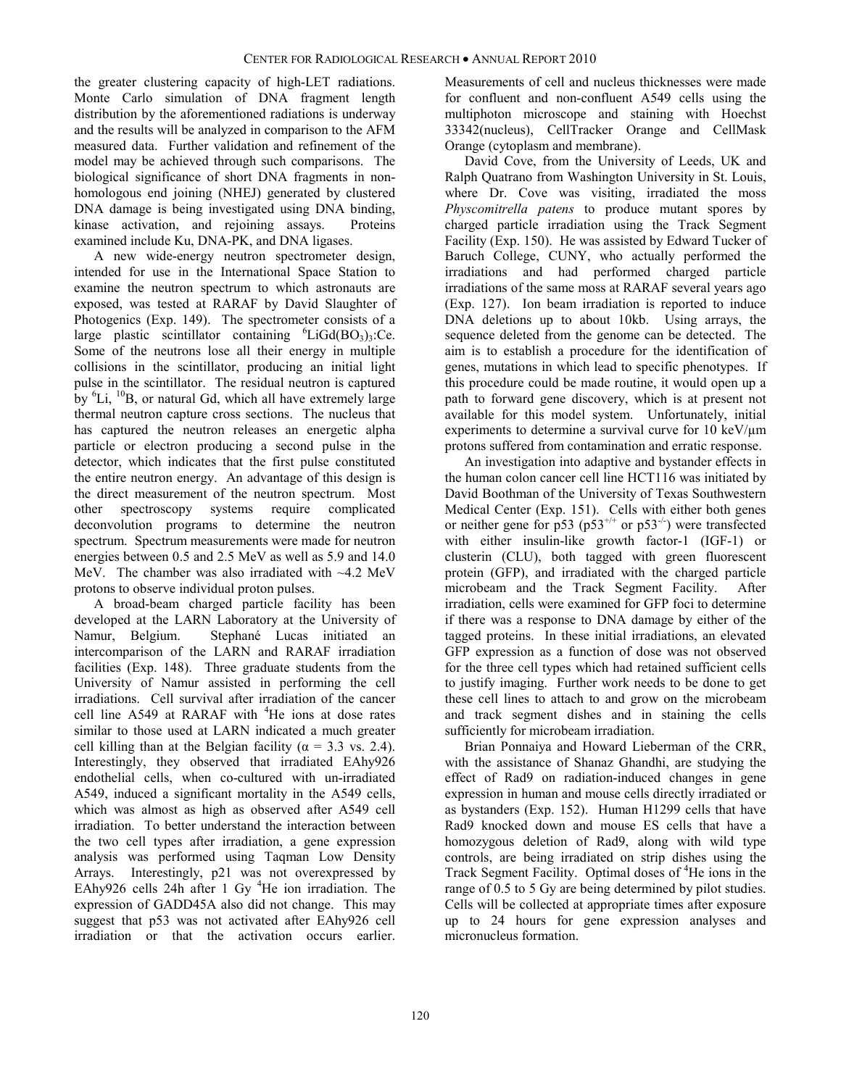the greater clustering capacity of high-LET radiations. Monte Carlo simulation of DNA fragment length distribution by the aforementioned radiations is underway and the results will be analyzed in comparison to the AFM measured data. Further validation and refinement of the model may be achieved through such comparisons. The biological significance of short DNA fragments in nonhomologous end joining (NHEJ) generated by clustered DNA damage is being investigated using DNA binding, kinase activation, and rejoining assays. Proteins examined include Ku, DNA-PK, and DNA ligases.

A new wide-energy neutron spectrometer design, intended for use in the International Space Station to examine the neutron spectrum to which astronauts are exposed, was tested at RARAF by David Slaughter of Photogenics (Exp. 149). The spectrometer consists of a large plastic scintillator containing  ${}^{6}LiGd(BO<sub>3</sub>)<sub>3</sub>:Ce.$ Some of the neutrons lose all their energy in multiple collisions in the scintillator, producing an initial light pulse in the scintillator. The residual neutron is captured by <sup>6</sup>Li, <sup>10</sup>B, or natural Gd, which all have extremely large thermal neutron capture cross sections. The nucleus that has captured the neutron releases an energetic alpha particle or electron producing a second pulse in the detector, which indicates that the first pulse constituted the entire neutron energy. An advantage of this design is the direct measurement of the neutron spectrum. Most other spectroscopy systems require complicated deconvolution programs to determine the neutron spectrum. Spectrum measurements were made for neutron energies between 0.5 and 2.5 MeV as well as 5.9 and 14.0 MeV. The chamber was also irradiated with ~4.2 MeV protons to observe individual proton pulses.

A broad-beam charged particle facility has been developed at the LARN Laboratory at the University of Namur, Belgium. Stephané Lucas initiated an intercomparison of the LARN and RARAF irradiation facilities (Exp. 148). Three graduate students from the University of Namur assisted in performing the cell irradiations. Cell survival after irradiation of the cancer cell line  $A549$  at RARAF with  ${}^{4}$ He ions at dose rates similar to those used at LARN indicated a much greater cell killing than at the Belgian facility ( $\alpha = 3.3$  vs. 2.4). Interestingly, they observed that irradiated EAhy926 endothelial cells, when co-cultured with un-irradiated A549, induced a significant mortality in the A549 cells, which was almost as high as observed after A549 cell irradiation. To better understand the interaction between the two cell types after irradiation, a gene expression analysis was performed using Taqman Low Density Arrays. Interestingly, p21 was not overexpressed by EAhy926 cells 24h after 1 Gy <sup>4</sup>He ion irradiation. The expression of GADD45A also did not change. This may suggest that p53 was not activated after EAhy926 cell irradiation or that the activation occurs earlier.

Measurements of cell and nucleus thicknesses were made for confluent and non-confluent A549 cells using the multiphoton microscope and staining with Hoechst 33342(nucleus), CellTracker Orange and CellMask Orange (cytoplasm and membrane).

David Cove, from the University of Leeds, UK and Ralph Quatrano from Washington University in St. Louis, where Dr. Cove was visiting, irradiated the moss *Physcomitrella patens* to produce mutant spores by charged particle irradiation using the Track Segment Facility (Exp. 150). He was assisted by Edward Tucker of Baruch College, CUNY, who actually performed the irradiations and had performed charged particle irradiations of the same moss at RARAF several years ago (Exp. 127). Ion beam irradiation is reported to induce DNA deletions up to about 10kb. Using arrays, the sequence deleted from the genome can be detected. The aim is to establish a procedure for the identification of genes, mutations in which lead to specific phenotypes. If this procedure could be made routine, it would open up a path to forward gene discovery, which is at present not available for this model system. Unfortunately, initial experiments to determine a survival curve for 10 keV/µm protons suffered from contamination and erratic response.

An investigation into adaptive and bystander effects in the human colon cancer cell line HCT116 was initiated by David Boothman of the University of Texas Southwestern Medical Center (Exp. 151). Cells with either both genes or neither gene for p53 (p53<sup>+/+</sup> or p53<sup>-/-</sup>) were transfected with either insulin-like growth factor-1 (IGF-1) or clusterin (CLU), both tagged with green fluorescent protein (GFP), and irradiated with the charged particle microbeam and the Track Segment Facility. After irradiation, cells were examined for GFP foci to determine if there was a response to DNA damage by either of the tagged proteins. In these initial irradiations, an elevated GFP expression as a function of dose was not observed for the three cell types which had retained sufficient cells to justify imaging. Further work needs to be done to get these cell lines to attach to and grow on the microbeam and track segment dishes and in staining the cells sufficiently for microbeam irradiation.

Brian Ponnaiya and Howard Lieberman of the CRR, with the assistance of Shanaz Ghandhi, are studying the effect of Rad9 on radiation-induced changes in gene expression in human and mouse cells directly irradiated or as bystanders (Exp. 152). Human H1299 cells that have Rad9 knocked down and mouse ES cells that have a homozygous deletion of Rad9, along with wild type controls, are being irradiated on strip dishes using the Track Segment Facility. Optimal doses of <sup>4</sup>He ions in the range of 0.5 to 5 Gy are being determined by pilot studies. Cells will be collected at appropriate times after exposure up to 24 hours for gene expression analyses and micronucleus formation.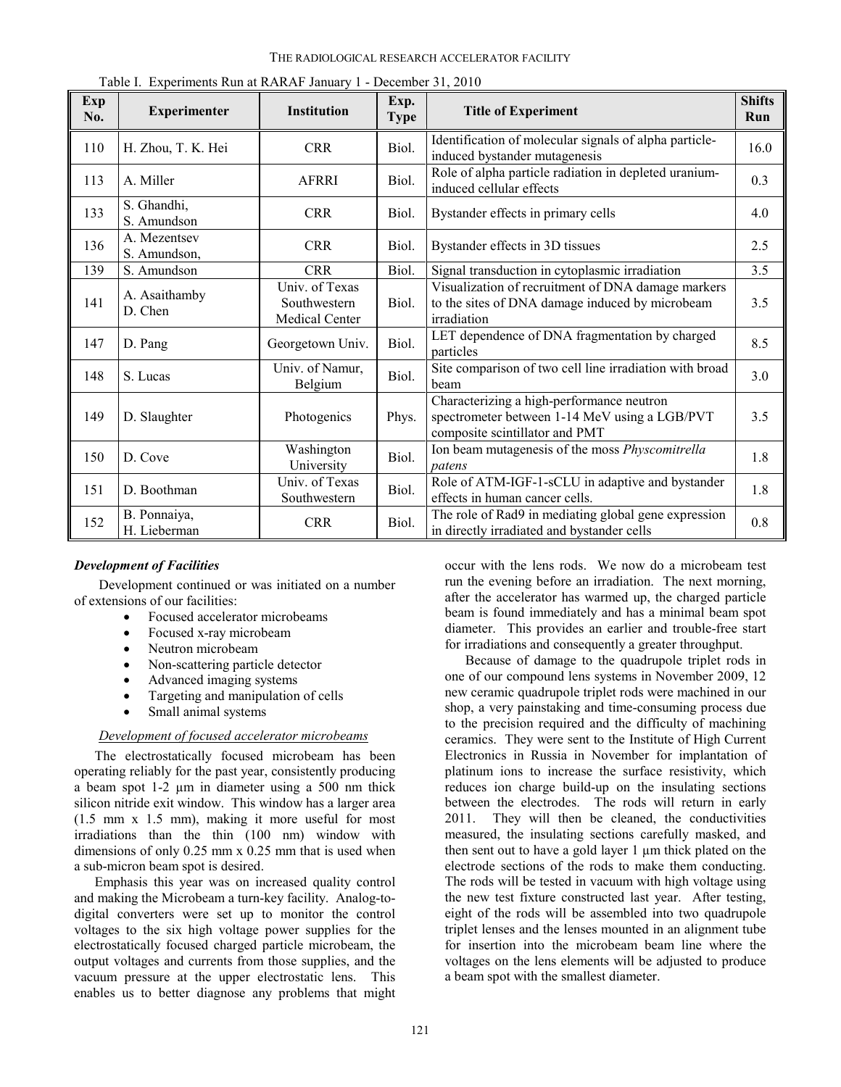| Exp<br>No. | $\frac{1}{2}$<br><b>Experimenter</b> | Institution                                      | Exp.<br><b>Type</b> | <b>Title of Experiment</b>                                                                                                   | <b>Shifts</b><br>Run |
|------------|--------------------------------------|--------------------------------------------------|---------------------|------------------------------------------------------------------------------------------------------------------------------|----------------------|
| 110        | H. Zhou, T. K. Hei                   | <b>CRR</b>                                       | Biol.               | Identification of molecular signals of alpha particle-<br>induced bystander mutagenesis                                      | 16.0                 |
| 113        | A. Miller                            | <b>AFRRI</b>                                     | Biol.               | Role of alpha particle radiation in depleted uranium-<br>induced cellular effects                                            | 0.3                  |
| 133        | S. Ghandhi,<br>S. Amundson           | <b>CRR</b>                                       | Biol.               | Bystander effects in primary cells                                                                                           | 4.0                  |
| 136        | A. Mezentsev<br>S. Amundson,         | <b>CRR</b>                                       | Biol.               | Bystander effects in 3D tissues                                                                                              | 2.5                  |
| 139        | S. Amundson                          | <b>CRR</b>                                       | Biol.               | Signal transduction in cytoplasmic irradiation                                                                               | 3.5                  |
| 141        | A. Asaithamby<br>D. Chen             | Univ. of Texas<br>Southwestern<br>Medical Center | Biol.               | Visualization of recruitment of DNA damage markers<br>to the sites of DNA damage induced by microbeam<br>irradiation         | 3.5                  |
| 147        | D. Pang                              | Georgetown Univ.                                 | Biol.               | LET dependence of DNA fragmentation by charged<br>particles                                                                  | 8.5                  |
| 148        | S. Lucas                             | Univ. of Namur,<br>Belgium                       | Biol.               | Site comparison of two cell line irradiation with broad<br>beam                                                              | 3.0                  |
| 149        | D. Slaughter                         | Photogenics                                      | Phys.               | Characterizing a high-performance neutron<br>spectrometer between 1-14 MeV using a LGB/PVT<br>composite scintillator and PMT | 3.5                  |
| 150        | D. Cove                              | Washington<br>University                         | Biol.               | Ion beam mutagenesis of the moss Physcomitrella<br>patens                                                                    | 1.8                  |
| 151        | D. Boothman                          | Univ. of Texas<br>Southwestern                   | Biol.               | Role of ATM-IGF-1-sCLU in adaptive and bystander<br>effects in human cancer cells.                                           | 1.8                  |
| 152        | B. Ponnaiya,<br>H. Lieberman         | <b>CRR</b>                                       | Biol.               | The role of Rad9 in mediating global gene expression<br>in directly irradiated and bystander cells                           | 0.8                  |

Table I. Experiments Run at RARAF January 1 - December 31, 2010

#### *Development of Facilities*

Development continued or was initiated on a number of extensions of our facilities:

- Focused accelerator microbeams
- Focused x-ray microbeam
- Neutron microbeam
- Non-scattering particle detector
- Advanced imaging systems
- Targeting and manipulation of cells
- Small animal systems

## *Development of focused accelerator microbeams*

The electrostatically focused microbeam has been operating reliably for the past year, consistently producing a beam spot 1-2 µm in diameter using a 500 nm thick silicon nitride exit window. This window has a larger area (1.5 mm x 1.5 mm), making it more useful for most irradiations than the thin (100 nm) window with dimensions of only 0.25 mm x 0.25 mm that is used when a sub-micron beam spot is desired.

Emphasis this year was on increased quality control and making the Microbeam a turn-key facility. Analog-todigital converters were set up to monitor the control voltages to the six high voltage power supplies for the electrostatically focused charged particle microbeam, the output voltages and currents from those supplies, and the vacuum pressure at the upper electrostatic lens. This enables us to better diagnose any problems that might

occur with the lens rods. We now do a microbeam test run the evening before an irradiation. The next morning, after the accelerator has warmed up, the charged particle beam is found immediately and has a minimal beam spot diameter. This provides an earlier and trouble-free start for irradiations and consequently a greater throughput.

Because of damage to the quadrupole triplet rods in one of our compound lens systems in November 2009, 12 new ceramic quadrupole triplet rods were machined in our shop, a very painstaking and time-consuming process due to the precision required and the difficulty of machining ceramics. They were sent to the Institute of High Current Electronics in Russia in November for implantation of platinum ions to increase the surface resistivity, which reduces ion charge build-up on the insulating sections between the electrodes. The rods will return in early 2011. They will then be cleaned, the conductivities measured, the insulating sections carefully masked, and then sent out to have a gold layer 1 µm thick plated on the electrode sections of the rods to make them conducting. The rods will be tested in vacuum with high voltage using the new test fixture constructed last year. After testing, eight of the rods will be assembled into two quadrupole triplet lenses and the lenses mounted in an alignment tube for insertion into the microbeam beam line where the voltages on the lens elements will be adjusted to produce a beam spot with the smallest diameter.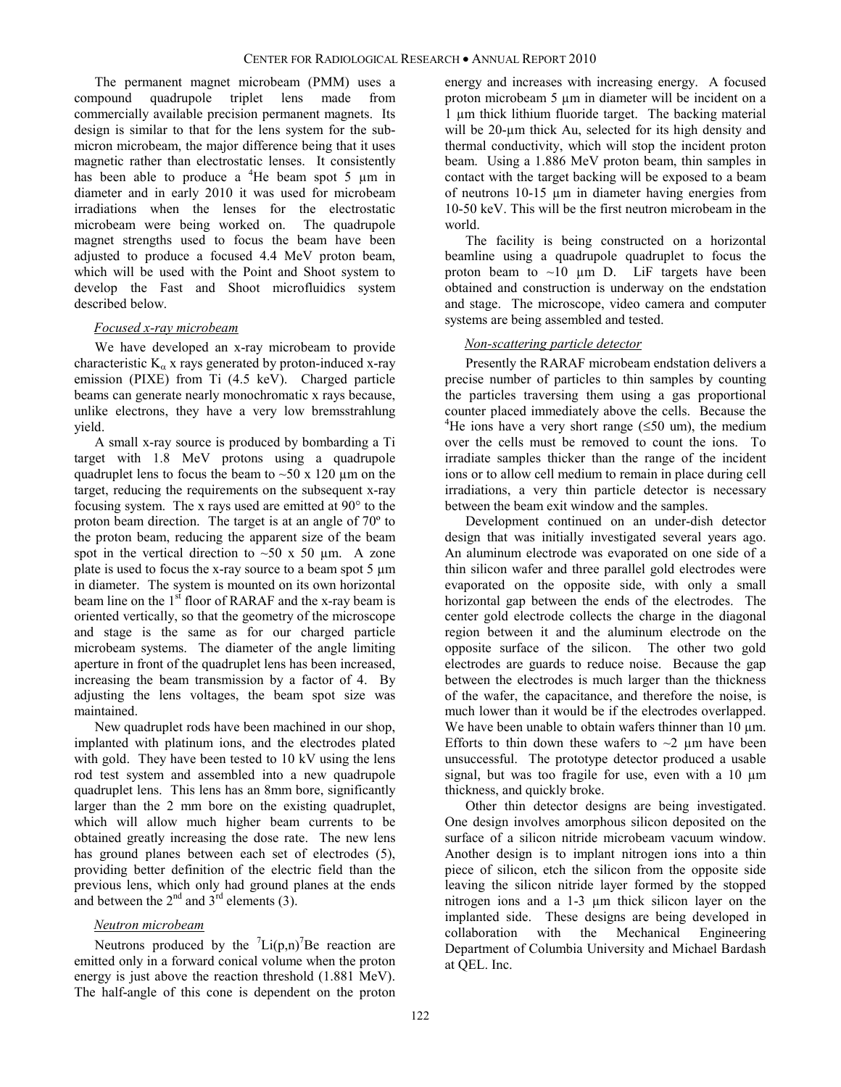The permanent magnet microbeam (PMM) uses a compound quadrupole triplet lens made from commercially available precision permanent magnets. Its design is similar to that for the lens system for the submicron microbeam, the major difference being that it uses magnetic rather than electrostatic lenses. It consistently has been able to produce a  ${}^{4}$ He beam spot 5  $\mu$ m in diameter and in early 2010 it was used for microbeam irradiations when the lenses for the electrostatic microbeam were being worked on. The quadrupole magnet strengths used to focus the beam have been adjusted to produce a focused 4.4 MeV proton beam, which will be used with the Point and Shoot system to develop the Fast and Shoot microfluidics system described below.

#### *Focused x-ray microbeam*

We have developed an x-ray microbeam to provide characteristic  $K_{\alpha}$  x rays generated by proton-induced x-ray emission (PIXE) from Ti (4.5 keV). Charged particle beams can generate nearly monochromatic x rays because, unlike electrons, they have a very low bremsstrahlung yield.

A small x-ray source is produced by bombarding a Ti target with 1.8 MeV protons using a quadrupole quadruplet lens to focus the beam to  $\sim$  50 x 120  $\mu$ m on the target, reducing the requirements on the subsequent x-ray focusing system. The x rays used are emitted at 90° to the proton beam direction. The target is at an angle of 70º to the proton beam, reducing the apparent size of the beam spot in the vertical direction to  $\sim 50$  x 50 µm. A zone plate is used to focus the x-ray source to a beam spot  $5 \mu m$ in diameter. The system is mounted on its own horizontal beam line on the 1<sup>st</sup> floor of RARAF and the x-ray beam is oriented vertically, so that the geometry of the microscope and stage is the same as for our charged particle microbeam systems. The diameter of the angle limiting aperture in front of the quadruplet lens has been increased, increasing the beam transmission by a factor of 4. By adjusting the lens voltages, the beam spot size was maintained.

New quadruplet rods have been machined in our shop, implanted with platinum ions, and the electrodes plated with gold. They have been tested to 10 kV using the lens rod test system and assembled into a new quadrupole quadruplet lens. This lens has an 8mm bore, significantly larger than the 2 mm bore on the existing quadruplet, which will allow much higher beam currents to be obtained greatly increasing the dose rate. The new lens has ground planes between each set of electrodes (5), providing better definition of the electric field than the previous lens, which only had ground planes at the ends and between the  $2<sup>nd</sup>$  and  $3<sup>rd</sup>$  elements (3).

#### *Neutron microbeam*

Neutrons produced by the  $\text{Li}(p,n)^7$ Be reaction are emitted only in a forward conical volume when the proton energy is just above the reaction threshold (1.881 MeV). The half-angle of this cone is dependent on the proton

energy and increases with increasing energy. A focused proton microbeam 5 µm in diameter will be incident on a 1 µm thick lithium fluoride target. The backing material will be 20-µm thick Au, selected for its high density and thermal conductivity, which will stop the incident proton beam. Using a 1.886 MeV proton beam, thin samples in contact with the target backing will be exposed to a beam of neutrons 10-15 µm in diameter having energies from 10-50 keV. This will be the first neutron microbeam in the world.

The facility is being constructed on a horizontal beamline using a quadrupole quadruplet to focus the proton beam to  $\sim 10$  µm D. LiF targets have been obtained and construction is underway on the endstation and stage. The microscope, video camera and computer systems are being assembled and tested.

#### *Non-scattering particle detector*

Presently the RARAF microbeam endstation delivers a precise number of particles to thin samples by counting the particles traversing them using a gas proportional counter placed immediately above the cells. Because the <sup>4</sup>He ions have a very short range ( $\leq$ 50 um), the medium over the cells must be removed to count the ions. To irradiate samples thicker than the range of the incident ions or to allow cell medium to remain in place during cell irradiations, a very thin particle detector is necessary between the beam exit window and the samples.

Development continued on an under-dish detector design that was initially investigated several years ago. An aluminum electrode was evaporated on one side of a thin silicon wafer and three parallel gold electrodes were evaporated on the opposite side, with only a small horizontal gap between the ends of the electrodes. The center gold electrode collects the charge in the diagonal region between it and the aluminum electrode on the opposite surface of the silicon. The other two gold electrodes are guards to reduce noise. Because the gap between the electrodes is much larger than the thickness of the wafer, the capacitance, and therefore the noise, is much lower than it would be if the electrodes overlapped. We have been unable to obtain wafers thinner than  $10 \mu m$ . Efforts to thin down these wafers to  $\sim$ 2  $\mu$ m have been unsuccessful. The prototype detector produced a usable signal, but was too fragile for use, even with a  $10 \mu m$ thickness, and quickly broke.

Other thin detector designs are being investigated. One design involves amorphous silicon deposited on the surface of a silicon nitride microbeam vacuum window. Another design is to implant nitrogen ions into a thin piece of silicon, etch the silicon from the opposite side leaving the silicon nitride layer formed by the stopped nitrogen ions and a 1-3 µm thick silicon layer on the implanted side. These designs are being developed in collaboration with the Mechanical Engineering Department of Columbia University and Michael Bardash at QEL. Inc.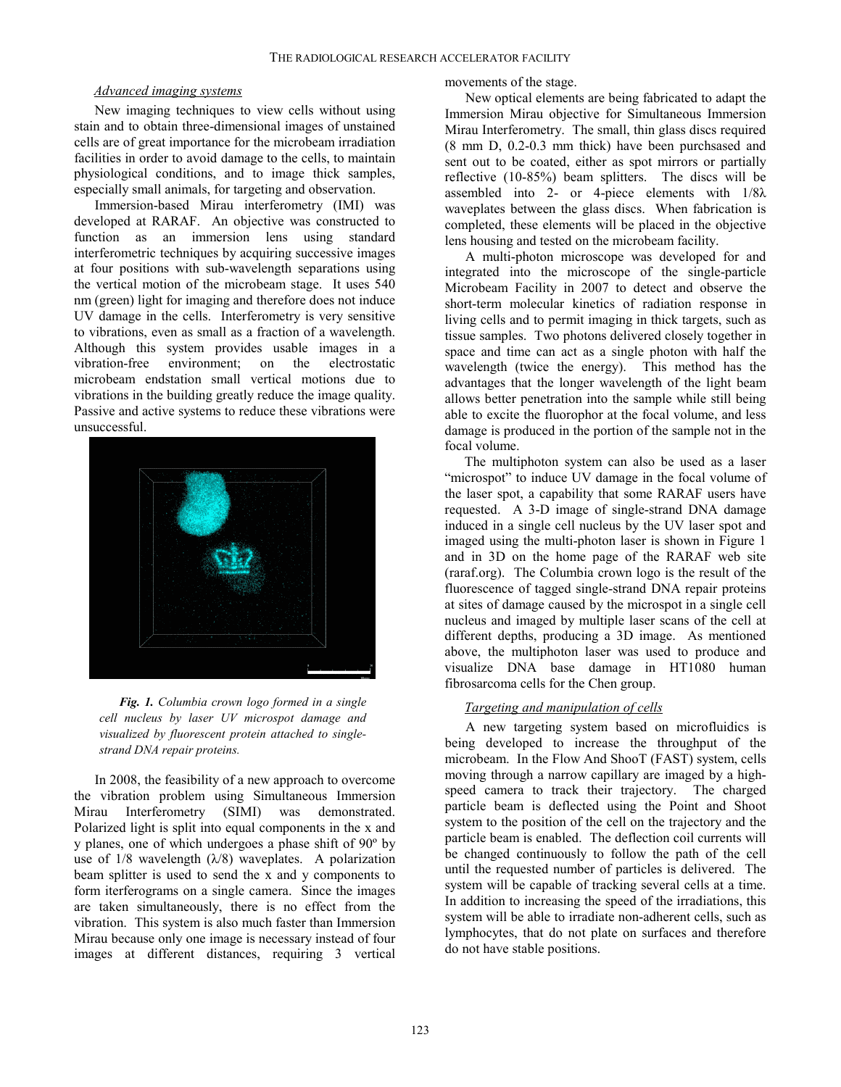#### *Advanced imaging systems*

New imaging techniques to view cells without using stain and to obtain three-dimensional images of unstained cells are of great importance for the microbeam irradiation facilities in order to avoid damage to the cells, to maintain physiological conditions, and to image thick samples, especially small animals, for targeting and observation.

Immersion-based Mirau interferometry (IMI) was developed at RARAF. An objective was constructed to function as an immersion lens using standard interferometric techniques by acquiring successive images at four positions with sub-wavelength separations using the vertical motion of the microbeam stage. It uses 540 nm (green) light for imaging and therefore does not induce UV damage in the cells. Interferometry is very sensitive to vibrations, even as small as a fraction of a wavelength. Although this system provides usable images in a vibration-free environment; on the electrostatic microbeam endstation small vertical motions due to vibrations in the building greatly reduce the image quality. Passive and active systems to reduce these vibrations were unsuccessful.



*Fig. 1. Columbia crown logo formed in a single cell nucleus by laser UV microspot damage and visualized by fluorescent protein attached to singlestrand DNA repair proteins.*

In 2008, the feasibility of a new approach to overcome the vibration problem using Simultaneous Immersion Mirau Interferometry (SIMI) was demonstrated. Polarized light is split into equal components in the x and y planes, one of which undergoes a phase shift of 90º by use of  $1/8$  wavelength  $(\lambda/8)$  waveplates. A polarization beam splitter is used to send the x and y components to form iterferograms on a single camera. Since the images are taken simultaneously, there is no effect from the vibration. This system is also much faster than Immersion Mirau because only one image is necessary instead of four images at different distances, requiring 3 vertical movements of the stage.

New optical elements are being fabricated to adapt the Immersion Mirau objective for Simultaneous Immersion Mirau Interferometry. The small, thin glass discs required (8 mm D, 0.2-0.3 mm thick) have been purchsased and sent out to be coated, either as spot mirrors or partially reflective (10-85%) beam splitters. The discs will be assembled into 2- or 4-piece elements with 1/8λ waveplates between the glass discs. When fabrication is completed, these elements will be placed in the objective lens housing and tested on the microbeam facility.

A multi-photon microscope was developed for and integrated into the microscope of the single-particle Microbeam Facility in 2007 to detect and observe the short-term molecular kinetics of radiation response in living cells and to permit imaging in thick targets, such as tissue samples. Two photons delivered closely together in space and time can act as a single photon with half the wavelength (twice the energy). This method has the advantages that the longer wavelength of the light beam allows better penetration into the sample while still being able to excite the fluorophor at the focal volume, and less damage is produced in the portion of the sample not in the focal volume.

The multiphoton system can also be used as a laser "microspot" to induce UV damage in the focal volume of the laser spot, a capability that some RARAF users have requested. A 3-D image of single-strand DNA damage induced in a single cell nucleus by the UV laser spot and imaged using the multi-photon laser is shown in Figure 1 and in 3D on the home page of the RARAF web site (raraf.org). The Columbia crown logo is the result of the fluorescence of tagged single-strand DNA repair proteins at sites of damage caused by the microspot in a single cell nucleus and imaged by multiple laser scans of the cell at different depths, producing a 3D image. As mentioned above, the multiphoton laser was used to produce and visualize DNA base damage in HT1080 human fibrosarcoma cells for the Chen group.

#### *Targeting and manipulation of cells*

A new targeting system based on microfluidics is being developed to increase the throughput of the microbeam. In the Flow And ShooT (FAST) system, cells moving through a narrow capillary are imaged by a highspeed camera to track their trajectory. The charged particle beam is deflected using the Point and Shoot system to the position of the cell on the trajectory and the particle beam is enabled. The deflection coil currents will be changed continuously to follow the path of the cell until the requested number of particles is delivered. The system will be capable of tracking several cells at a time. In addition to increasing the speed of the irradiations, this system will be able to irradiate non-adherent cells, such as lymphocytes, that do not plate on surfaces and therefore do not have stable positions.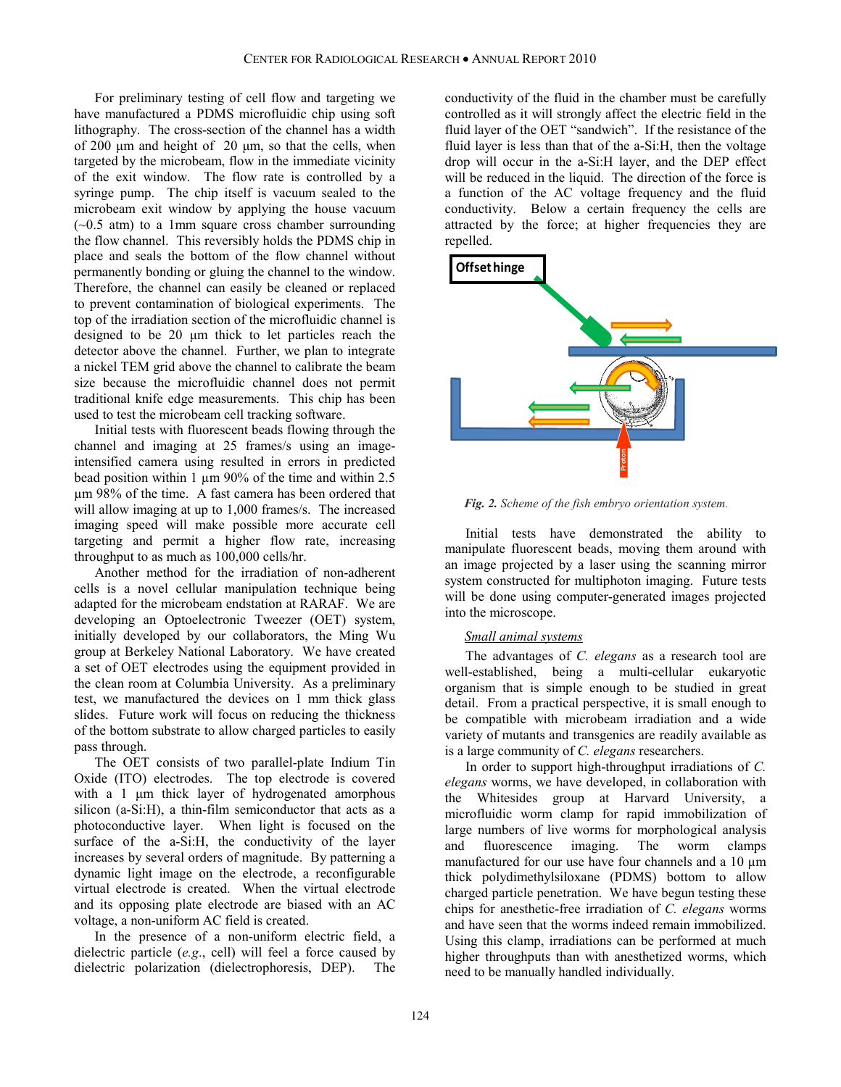For preliminary testing of cell flow and targeting we have manufactured a PDMS microfluidic chip using soft lithography. The cross-section of the channel has a width of 200 μm and height of 20 μm, so that the cells, when targeted by the microbeam, flow in the immediate vicinity of the exit window. The flow rate is controlled by a syringe pump. The chip itself is vacuum sealed to the microbeam exit window by applying the house vacuum  $(-0.5 \text{ atm})$  to a 1mm square cross chamber surrounding the flow channel. This reversibly holds the PDMS chip in place and seals the bottom of the flow channel without permanently bonding or gluing the channel to the window. Therefore, the channel can easily be cleaned or replaced to prevent contamination of biological experiments. The top of the irradiation section of the microfluidic channel is designed to be 20 μm thick to let particles reach the detector above the channel. Further, we plan to integrate a nickel TEM grid above the channel to calibrate the beam size because the microfluidic channel does not permit traditional knife edge measurements. This chip has been used to test the microbeam cell tracking software.

Initial tests with fluorescent beads flowing through the channel and imaging at 25 frames/s using an imageintensified camera using resulted in errors in predicted bead position within 1  $\mu$ m 90% of the time and within 2.5 µm 98% of the time. A fast camera has been ordered that will allow imaging at up to 1,000 frames/s. The increased imaging speed will make possible more accurate cell targeting and permit a higher flow rate, increasing throughput to as much as 100,000 cells/hr.

Another method for the irradiation of non-adherent cells is a novel cellular manipulation technique being adapted for the microbeam endstation at RARAF. We are developing an Optoelectronic Tweezer (OET) system, initially developed by our collaborators, the Ming Wu group at Berkeley National Laboratory. We have created a set of OET electrodes using the equipment provided in the clean room at Columbia University. As a preliminary test, we manufactured the devices on 1 mm thick glass slides. Future work will focus on reducing the thickness of the bottom substrate to allow charged particles to easily pass through.

The OET consists of two parallel-plate Indium Tin Oxide (ITO) electrodes. The top electrode is covered with a 1 μm thick layer of hydrogenated amorphous silicon (a-Si:H), a thin-film semiconductor that acts as a photoconductive layer. When light is focused on the surface of the a-Si:H, the conductivity of the layer increases by several orders of magnitude. By patterning a dynamic light image on the electrode, a reconfigurable virtual electrode is created. When the virtual electrode and its opposing plate electrode are biased with an AC voltage, a non-uniform AC field is created.

In the presence of a non-uniform electric field, a dielectric particle (*e.g*., cell) will feel a force caused by dielectric polarization (dielectrophoresis, DEP). The

conductivity of the fluid in the chamber must be carefully controlled as it will strongly affect the electric field in the fluid layer of the OET "sandwich". If the resistance of the fluid layer is less than that of the a-Si:H, then the voltage drop will occur in the a-Si:H layer, and the DEP effect will be reduced in the liquid. The direction of the force is a function of the AC voltage frequency and the fluid conductivity. Below a certain frequency the cells are attracted by the force; at higher frequencies they are repelled.



*Fig. 2. Scheme of the fish embryo orientation system.*

Initial tests have demonstrated the ability to manipulate fluorescent beads, moving them around with an image projected by a laser using the scanning mirror system constructed for multiphoton imaging. Future tests will be done using computer-generated images projected into the microscope.

#### *Small animal systems*

The advantages of *C. elegans* as a research tool are well-established, being a multi-cellular eukaryotic organism that is simple enough to be studied in great detail. From a practical perspective, it is small enough to be compatible with microbeam irradiation and a wide variety of mutants and transgenics are readily available as is a large community of *C. elegans* researchers.

In order to support high-throughput irradiations of *C. elegans* worms, we have developed, in collaboration with the Whitesides group at Harvard University, a microfluidic worm clamp for rapid immobilization of large numbers of live worms for morphological analysis and fluorescence imaging. The worm clamps manufactured for our use have four channels and a 10 µm thick polydimethylsiloxane (PDMS) bottom to allow charged particle penetration. We have begun testing these chips for anesthetic-free irradiation of *C. elegans* worms and have seen that the worms indeed remain immobilized. Using this clamp, irradiations can be performed at much higher throughputs than with anesthetized worms, which Fig. 2. Scheme of the fish embryo orientat.<br>
Initial tests have demonstrated<br>
manipulate fluorescent beads, moving the<br>
system constructed for multiphoton imaging<br>
will be done using computer-generated i<br>
will be done usin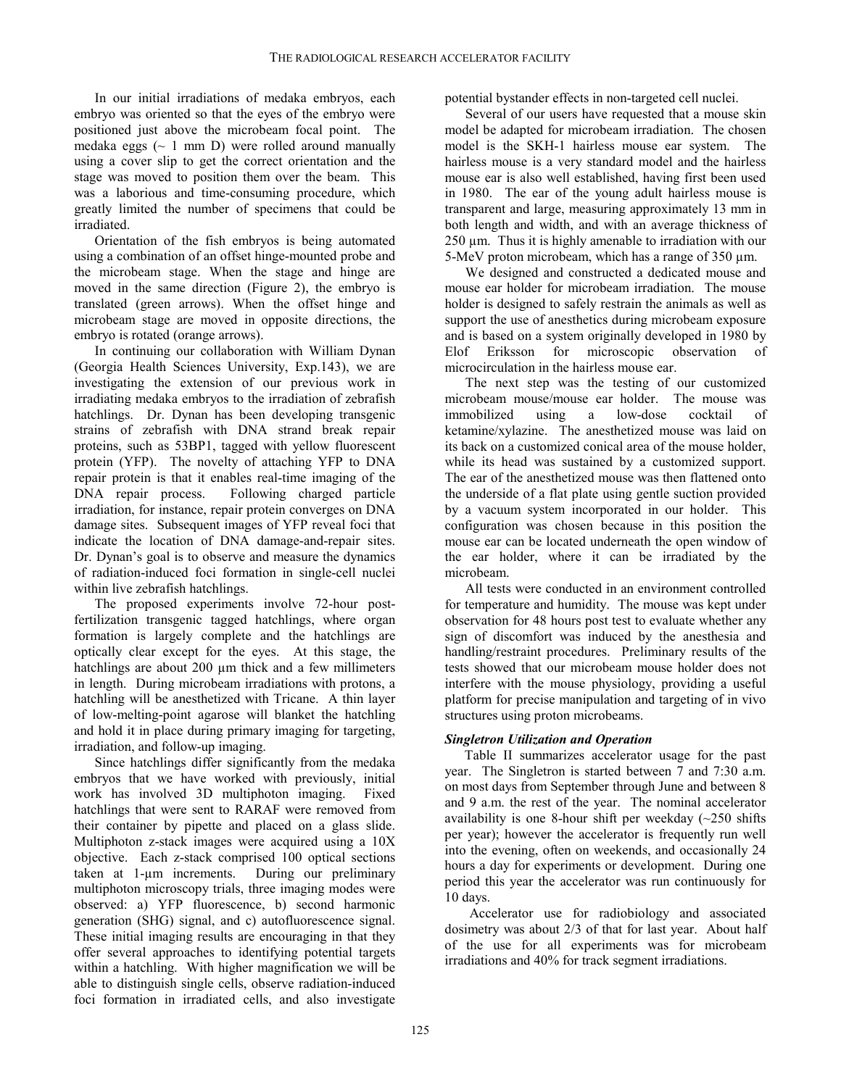In our initial irradiations of medaka embryos, each embryo was oriented so that the eyes of the embryo were positioned just above the microbeam focal point. The medaka eggs  $(\sim 1 \text{ mm D})$  were rolled around manually using a cover slip to get the correct orientation and the stage was moved to position them over the beam. This was a laborious and time-consuming procedure, which greatly limited the number of specimens that could be irradiated.

Orientation of the fish embryos is being automated using a combination of an offset hinge-mounted probe and the microbeam stage. When the stage and hinge are moved in the same direction (Figure 2), the embryo is translated (green arrows). When the offset hinge and microbeam stage are moved in opposite directions, the embryo is rotated (orange arrows).

In continuing our collaboration with William Dynan (Georgia Health Sciences University, Exp.143), we are investigating the extension of our previous work in irradiating medaka embryos to the irradiation of zebrafish hatchlings. Dr. Dynan has been developing transgenic strains of zebrafish with DNA strand break repair proteins, such as 53BP1, tagged with yellow fluorescent protein (YFP). The novelty of attaching YFP to DNA repair protein is that it enables real-time imaging of the DNA repair process. Following charged particle irradiation, for instance, repair protein converges on DNA damage sites. Subsequent images of YFP reveal foci that indicate the location of DNA damage-and-repair sites. Dr. Dynan's goal is to observe and measure the dynamics of radiation-induced foci formation in single-cell nuclei within live zebrafish hatchlings.

The proposed experiments involve 72-hour postfertilization transgenic tagged hatchlings, where organ formation is largely complete and the hatchlings are optically clear except for the eyes. At this stage, the hatchlings are about 200  $\mu$ m thick and a few millimeters in length. During microbeam irradiations with protons, a hatchling will be anesthetized with Tricane. A thin layer of low-melting-point agarose will blanket the hatchling and hold it in place during primary imaging for targeting, irradiation, and follow-up imaging.

Since hatchlings differ significantly from the medaka embryos that we have worked with previously, initial work has involved 3D multiphoton imaging. Fixed hatchlings that were sent to RARAF were removed from their container by pipette and placed on a glass slide. Multiphoton z-stack images were acquired using a 10X objective. Each z-stack comprised 100 optical sections taken at 1-µm increments. During our preliminary multiphoton microscopy trials, three imaging modes were observed: a) YFP fluorescence, b) second harmonic generation (SHG) signal, and c) autofluorescence signal. These initial imaging results are encouraging in that they offer several approaches to identifying potential targets within a hatchling. With higher magnification we will be able to distinguish single cells, observe radiation-induced foci formation in irradiated cells, and also investigate potential bystander effects in non-targeted cell nuclei.

Several of our users have requested that a mouse skin model be adapted for microbeam irradiation. The chosen model is the SKH-1 hairless mouse ear system. The hairless mouse is a very standard model and the hairless mouse ear is also well established, having first been used in 1980. The ear of the young adult hairless mouse is transparent and large, measuring approximately 13 mm in both length and width, and with an average thickness of 250 µm. Thus it is highly amenable to irradiation with our 5-MeV proton microbeam, which has a range of 350 µm.

We designed and constructed a dedicated mouse and mouse ear holder for microbeam irradiation. The mouse holder is designed to safely restrain the animals as well as support the use of anesthetics during microbeam exposure and is based on a system originally developed in 1980 by Elof Eriksson for microscopic observation of microcirculation in the hairless mouse ear.

The next step was the testing of our customized microbeam mouse/mouse ear holder. The mouse was immobilized using a low-dose cocktail of ketamine/xylazine. The anesthetized mouse was laid on its back on a customized conical area of the mouse holder, while its head was sustained by a customized support. The ear of the anesthetized mouse was then flattened onto the underside of a flat plate using gentle suction provided by a vacuum system incorporated in our holder. This configuration was chosen because in this position the mouse ear can be located underneath the open window of the ear holder, where it can be irradiated by the microbeam.

All tests were conducted in an environment controlled for temperature and humidity. The mouse was kept under observation for 48 hours post test to evaluate whether any sign of discomfort was induced by the anesthesia and handling/restraint procedures. Preliminary results of the tests showed that our microbeam mouse holder does not interfere with the mouse physiology, providing a useful platform for precise manipulation and targeting of in vivo structures using proton microbeams.

## *Singletron Utilization and Operation*

Table II summarizes accelerator usage for the past year. The Singletron is started between 7 and 7:30 a.m. on most days from September through June and between 8 and 9 a.m. the rest of the year. The nominal accelerator availability is one 8-hour shift per weekday  $(\sim 250$  shifts per year); however the accelerator is frequently run well into the evening, often on weekends, and occasionally 24 hours a day for experiments or development. During one period this year the accelerator was run continuously for 10 days.

Accelerator use for radiobiology and associated dosimetry was about 2/3 of that for last year. About half of the use for all experiments was for microbeam irradiations and 40% for track segment irradiations.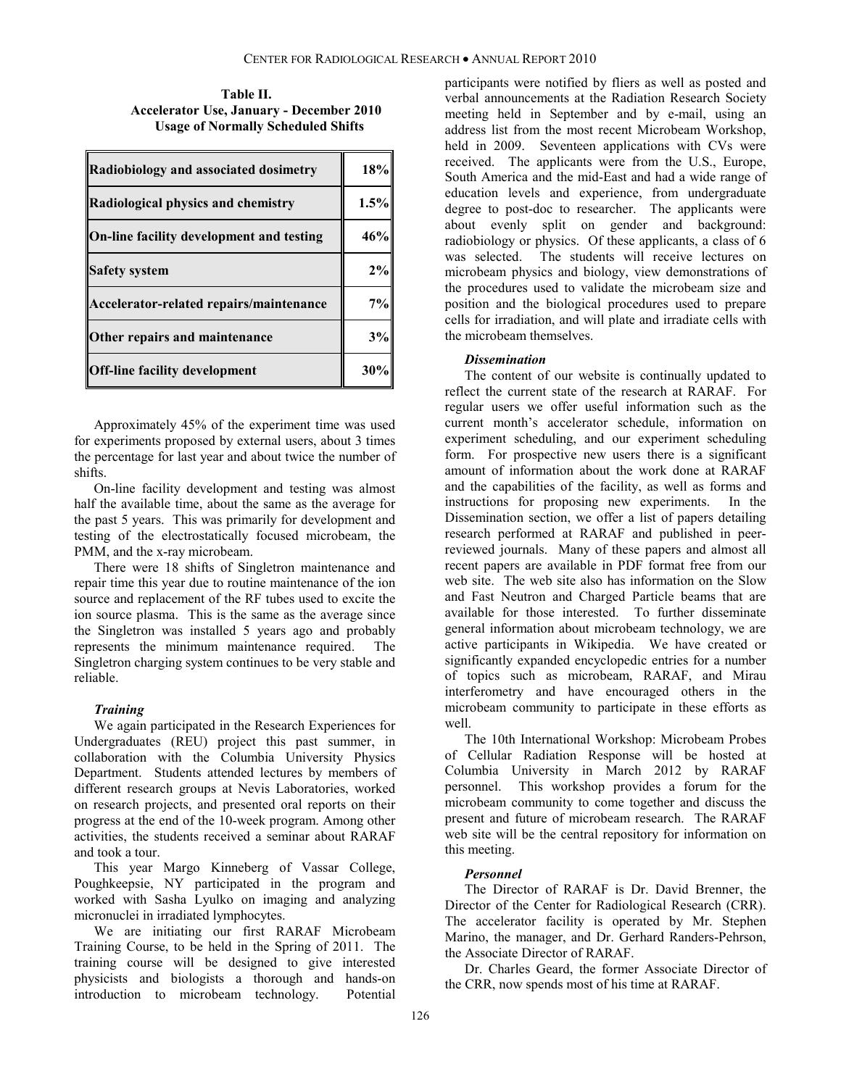**Table II. Accelerator Use, January - December 2010 Usage of Normally Scheduled Shifts**

| Radiobiology and associated dosimetry    | 18%  |
|------------------------------------------|------|
| Radiological physics and chemistry       | 1.5% |
| On-line facility development and testing | 46%  |
| <b>Safety system</b>                     | 2%   |
| Accelerator-related repairs/maintenance  | 7%   |
| Other repairs and maintenance            | 3%   |
| <b>Off-line facility development</b>     | 30%  |

Approximately 45% of the experiment time was used for experiments proposed by external users, about 3 times the percentage for last year and about twice the number of shifts.

On-line facility development and testing was almost half the available time, about the same as the average for the past 5 years. This was primarily for development and testing of the electrostatically focused microbeam, the PMM, and the x-ray microbeam.

There were 18 shifts of Singletron maintenance and repair time this year due to routine maintenance of the ion source and replacement of the RF tubes used to excite the ion source plasma. This is the same as the average since the Singletron was installed 5 years ago and probably represents the minimum maintenance required. The Singletron charging system continues to be very stable and reliable.

#### *Training*

We again participated in the Research Experiences for Undergraduates (REU) project this past summer, in collaboration with the Columbia University Physics Department. Students attended lectures by members of different research groups at Nevis Laboratories, worked on research projects, and presented oral reports on their progress at the end of the 10-week program. Among other activities, the students received a seminar about RARAF and took a tour.

This year Margo Kinneberg of Vassar College, Poughkeepsie, NY participated in the program and worked with Sasha Lyulko on imaging and analyzing micronuclei in irradiated lymphocytes.

We are initiating our first RARAF Microbeam Training Course, to be held in the Spring of 2011. The training course will be designed to give interested physicists and biologists a thorough and hands-on introduction to microbeam technology. Potential

participants were notified by fliers as well as posted and verbal announcements at the Radiation Research Society meeting held in September and by e-mail, using an address list from the most recent Microbeam Workshop, held in 2009. Seventeen applications with CVs were received. The applicants were from the U.S., Europe, South America and the mid-East and had a wide range of education levels and experience, from undergraduate degree to post-doc to researcher. The applicants were about evenly split on gender and background: radiobiology or physics. Of these applicants, a class of 6 was selected. The students will receive lectures on microbeam physics and biology, view demonstrations of the procedures used to validate the microbeam size and position and the biological procedures used to prepare cells for irradiation, and will plate and irradiate cells with the microbeam themselves.

#### *Dissemination*

The content of our website is continually updated to reflect the current state of the research at RARAF. For regular users we offer useful information such as the current month's accelerator schedule, information on experiment scheduling, and our experiment scheduling form. For prospective new users there is a significant amount of information about the work done at RARAF and the capabilities of the facility, as well as forms and instructions for proposing new experiments. In the Dissemination section, we offer a list of papers detailing research performed at RARAF and published in peerreviewed journals. Many of these papers and almost all recent papers are available in PDF format free from our web site. The web site also has information on the Slow and Fast Neutron and Charged Particle beams that are available for those interested. To further disseminate general information about microbeam technology, we are active participants in Wikipedia. We have created or significantly expanded encyclopedic entries for a number of topics such as microbeam, RARAF, and Mirau interferometry and have encouraged others in the microbeam community to participate in these efforts as well.

The 10th International Workshop: Microbeam Probes of Cellular Radiation Response will be hosted at Columbia University in March 2012 by RARAF personnel. This workshop provides a forum for the microbeam community to come together and discuss the present and future of microbeam research. The RARAF web site will be the central repository for information on this meeting.

#### *Personnel*

The Director of RARAF is Dr. David Brenner, the Director of the Center for Radiological Research (CRR). The accelerator facility is operated by Mr. Stephen Marino, the manager, and Dr. Gerhard Randers-Pehrson, the Associate Director of RARAF.

Dr. Charles Geard, the former Associate Director of the CRR, now spends most of his time at RARAF.